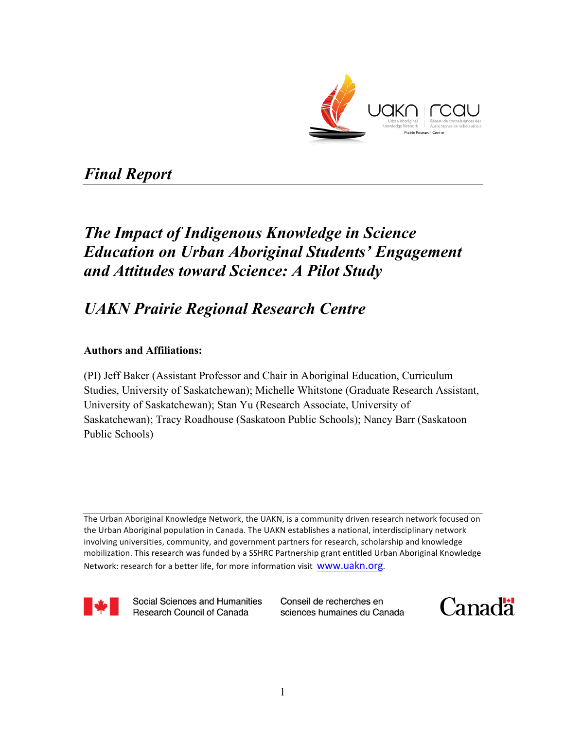

## *Final Report*

# *The Impact of Indigenous Knowledge in Science Education on Urban Aboriginal Students' Engagement and Attitudes toward Science: A Pilot Study*

## *UAKN Prairie Regional Research Centre*

## **Authors and Affiliations:**

(PI) Jeff Baker (Assistant Professor and Chair in Aboriginal Education, Curriculum Studies, University of Saskatchewan); Michelle Whitstone (Graduate Research Assistant, University of Saskatchewan); Stan Yu (Research Associate, University of Saskatchewan); Tracy Roadhouse (Saskatoon Public Schools); Nancy Barr (Saskatoon Public Schools)

The Urban Aboriginal Knowledge Network, the UAKN, is a community driven research network focused on the Urban Aboriginal population in Canada. The UAKN establishes a national, interdisciplinary network involving universities, community, and government partners for research, scholarship and knowledge mobilization. This research was funded by a SSHRC Partnership grant entitled Urban Aboriginal Knowledge Network: research for a better life, for more information visit **WWW.uakn.org**.



**Social Sciences and Humanities** Research Council of Canada

Conseil de recherches en sciences humaines du Canada

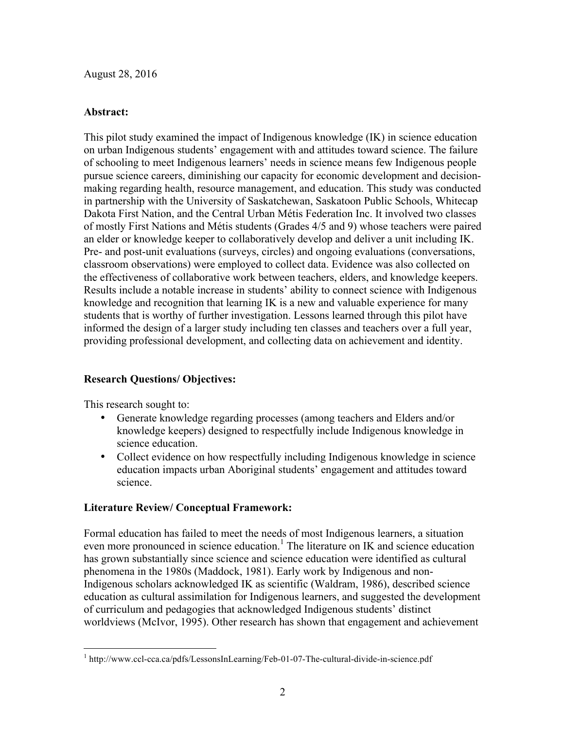August 28, 2016

#### **Abstract:**

This pilot study examined the impact of Indigenous knowledge (IK) in science education on urban Indigenous students' engagement with and attitudes toward science. The failure of schooling to meet Indigenous learners' needs in science means few Indigenous people pursue science careers, diminishing our capacity for economic development and decisionmaking regarding health, resource management, and education. This study was conducted in partnership with the University of Saskatchewan, Saskatoon Public Schools, Whitecap Dakota First Nation, and the Central Urban Métis Federation Inc. It involved two classes of mostly First Nations and Métis students (Grades 4/5 and 9) whose teachers were paired an elder or knowledge keeper to collaboratively develop and deliver a unit including IK. Pre- and post-unit evaluations (surveys, circles) and ongoing evaluations (conversations, classroom observations) were employed to collect data. Evidence was also collected on the effectiveness of collaborative work between teachers, elders, and knowledge keepers. Results include a notable increase in students' ability to connect science with Indigenous knowledge and recognition that learning IK is a new and valuable experience for many students that is worthy of further investigation. Lessons learned through this pilot have informed the design of a larger study including ten classes and teachers over a full year, providing professional development, and collecting data on achievement and identity.

### **Research Questions/ Objectives:**

This research sought to:

- Generate knowledge regarding processes (among teachers and Elders and/or knowledge keepers) designed to respectfully include Indigenous knowledge in science education.
- Collect evidence on how respectfully including Indigenous knowledge in science education impacts urban Aboriginal students' engagement and attitudes toward science.

### **Literature Review/ Conceptual Framework:**

Formal education has failed to meet the needs of most Indigenous learners, a situation even more pronounced in science education.<sup>1</sup> The literature on IK and science education has grown substantially since science and science education were identified as cultural phenomena in the 1980s (Maddock, 1981). Early work by Indigenous and non-Indigenous scholars acknowledged IK as scientific (Waldram, 1986), described science education as cultural assimilation for Indigenous learners, and suggested the development of curriculum and pedagogies that acknowledged Indigenous students' distinct worldviews (McIvor, 1995). Other research has shown that engagement and achievement

<sup>&</sup>lt;sup>1</sup> http://www.ccl-cca.ca/pdfs/LessonsInLearning/Feb-01-07-The-cultural-divide-in-science.pdf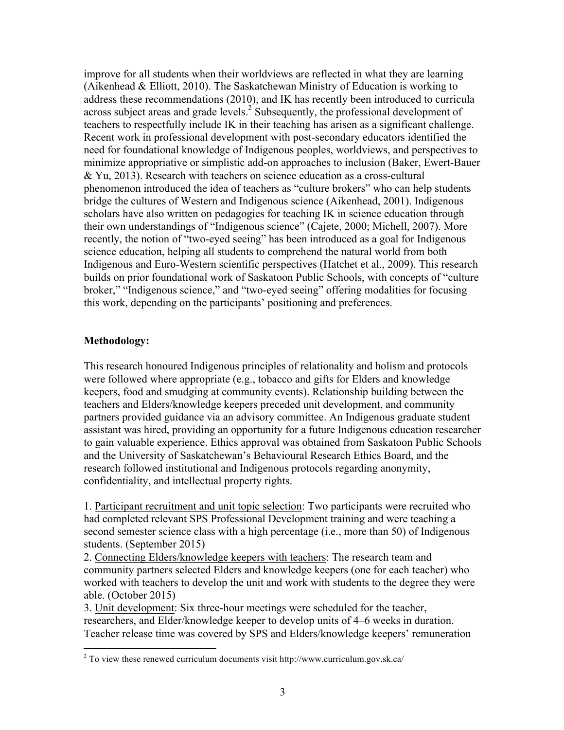improve for all students when their worldviews are reflected in what they are learning (Aikenhead & Elliott, 2010). The Saskatchewan Ministry of Education is working to address these recommendations (2010), and IK has recently been introduced to curricula across subject areas and grade levels.<sup>2</sup> Subsequently, the professional development of teachers to respectfully include IK in their teaching has arisen as a significant challenge. Recent work in professional development with post-secondary educators identified the need for foundational knowledge of Indigenous peoples, worldviews, and perspectives to minimize appropriative or simplistic add-on approaches to inclusion (Baker, Ewert-Bauer & Yu, 2013). Research with teachers on science education as a cross-cultural phenomenon introduced the idea of teachers as "culture brokers" who can help students bridge the cultures of Western and Indigenous science (Aikenhead, 2001). Indigenous scholars have also written on pedagogies for teaching IK in science education through their own understandings of "Indigenous science" (Cajete, 2000; Michell, 2007). More recently, the notion of "two-eyed seeing" has been introduced as a goal for Indigenous science education, helping all students to comprehend the natural world from both Indigenous and Euro-Western scientific perspectives (Hatchet et al., 2009). This research builds on prior foundational work of Saskatoon Public Schools, with concepts of "culture broker," "Indigenous science," and "two-eyed seeing" offering modalities for focusing this work, depending on the participants' positioning and preferences.

#### **Methodology:**

This research honoured Indigenous principles of relationality and holism and protocols were followed where appropriate (e.g., tobacco and gifts for Elders and knowledge keepers, food and smudging at community events). Relationship building between the teachers and Elders/knowledge keepers preceded unit development, and community partners provided guidance via an advisory committee. An Indigenous graduate student assistant was hired, providing an opportunity for a future Indigenous education researcher to gain valuable experience. Ethics approval was obtained from Saskatoon Public Schools and the University of Saskatchewan's Behavioural Research Ethics Board, and the research followed institutional and Indigenous protocols regarding anonymity, confidentiality, and intellectual property rights.

1. Participant recruitment and unit topic selection: Two participants were recruited who had completed relevant SPS Professional Development training and were teaching a second semester science class with a high percentage (i.e., more than 50) of Indigenous students. (September 2015)

2. Connecting Elders/knowledge keepers with teachers: The research team and community partners selected Elders and knowledge keepers (one for each teacher) who worked with teachers to develop the unit and work with students to the degree they were able. (October 2015)

3. Unit development: Six three-hour meetings were scheduled for the teacher, researchers, and Elder/knowledge keeper to develop units of 4–6 weeks in duration. Teacher release time was covered by SPS and Elders/knowledge keepers' remuneration

 <sup>2</sup> To view these renewed curriculum documents visit http://www.curriculum.gov.sk.ca/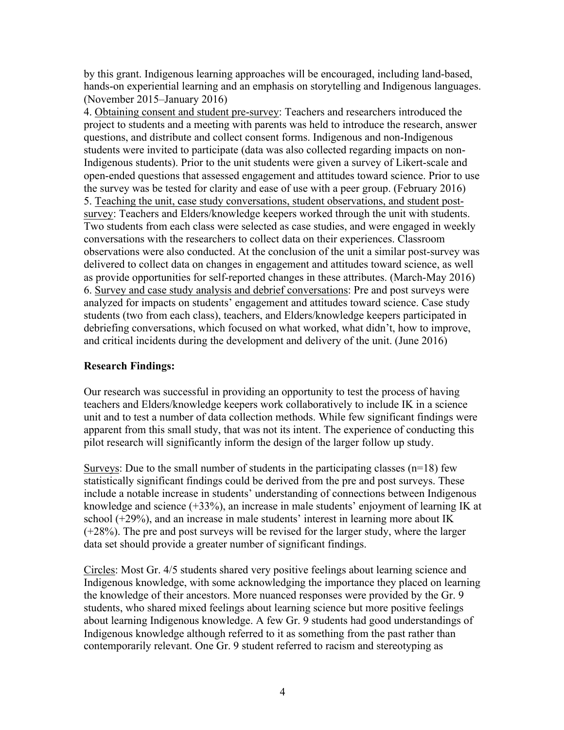by this grant. Indigenous learning approaches will be encouraged, including land-based, hands-on experiential learning and an emphasis on storytelling and Indigenous languages. (November 2015–January 2016)

4. Obtaining consent and student pre-survey: Teachers and researchers introduced the project to students and a meeting with parents was held to introduce the research, answer questions, and distribute and collect consent forms. Indigenous and non-Indigenous students were invited to participate (data was also collected regarding impacts on non-Indigenous students). Prior to the unit students were given a survey of Likert-scale and open-ended questions that assessed engagement and attitudes toward science. Prior to use the survey was be tested for clarity and ease of use with a peer group. (February 2016) 5. Teaching the unit, case study conversations, student observations, and student postsurvey: Teachers and Elders/knowledge keepers worked through the unit with students. Two students from each class were selected as case studies, and were engaged in weekly conversations with the researchers to collect data on their experiences. Classroom observations were also conducted. At the conclusion of the unit a similar post-survey was delivered to collect data on changes in engagement and attitudes toward science, as well as provide opportunities for self-reported changes in these attributes. (March-May 2016) 6. Survey and case study analysis and debrief conversations: Pre and post surveys were analyzed for impacts on students' engagement and attitudes toward science. Case study students (two from each class), teachers, and Elders/knowledge keepers participated in debriefing conversations, which focused on what worked, what didn't, how to improve, and critical incidents during the development and delivery of the unit. (June 2016)

#### **Research Findings:**

Our research was successful in providing an opportunity to test the process of having teachers and Elders/knowledge keepers work collaboratively to include IK in a science unit and to test a number of data collection methods. While few significant findings were apparent from this small study, that was not its intent. The experience of conducting this pilot research will significantly inform the design of the larger follow up study.

Surveys: Due to the small number of students in the participating classes  $(n=18)$  few statistically significant findings could be derived from the pre and post surveys. These include a notable increase in students' understanding of connections between Indigenous knowledge and science (+33%), an increase in male students' enjoyment of learning IK at school (+29%), and an increase in male students' interest in learning more about IK (+28%). The pre and post surveys will be revised for the larger study, where the larger data set should provide a greater number of significant findings.

Circles: Most Gr. 4/5 students shared very positive feelings about learning science and Indigenous knowledge, with some acknowledging the importance they placed on learning the knowledge of their ancestors. More nuanced responses were provided by the Gr. 9 students, who shared mixed feelings about learning science but more positive feelings about learning Indigenous knowledge. A few Gr. 9 students had good understandings of Indigenous knowledge although referred to it as something from the past rather than contemporarily relevant. One Gr. 9 student referred to racism and stereotyping as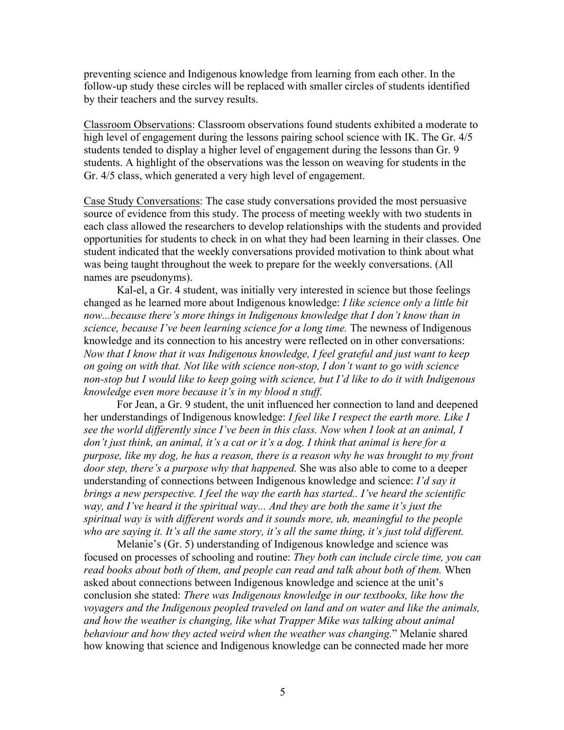preventing science and Indigenous knowledge from learning from each other. In the follow-up study these circles will be replaced with smaller circles of students identified by their teachers and the survey results.

Classroom Observations: Classroom observations found students exhibited a moderate to high level of engagement during the lessons pairing school science with IK. The Gr. 4/5 students tended to display a higher level of engagement during the lessons than Gr. 9 students. A highlight of the observations was the lesson on weaving for students in the Gr. 4/5 class, which generated a very high level of engagement.

Case Study Conversations: The case study conversations provided the most persuasive source of evidence from this study. The process of meeting weekly with two students in each class allowed the researchers to develop relationships with the students and provided opportunities for students to check in on what they had been learning in their classes. One student indicated that the weekly conversations provided motivation to think about what was being taught throughout the week to prepare for the weekly conversations. (All names are pseudonyms).

Kal-el, a Gr. 4 student, was initially very interested in science but those feelings changed as he learned more about Indigenous knowledge: *I like science only a little bit now...because there's more things in Indigenous knowledge that I don't know than in science, because I've been learning science for a long time.* The newness of Indigenous knowledge and its connection to his ancestry were reflected on in other conversations: *Now that I know that it was Indigenous knowledge, I feel grateful and just want to keep on going on with that. Not like with science non-stop, I don't want to go with science non-stop but I would like to keep going with science, but I'd like to do it with Indigenous knowledge even more because it's in my blood n stuff.* 

For Jean, a Gr. 9 student, the unit influenced her connection to land and deepened her understandings of Indigenous knowledge: *I feel like I respect the earth more. Like I see the world differently since I've been in this class. Now when I look at an animal, I don't just think, an animal, it's a cat or it's a dog. I think that animal is here for a purpose, like my dog, he has a reason, there is a reason why he was brought to my front door step, there's a purpose why that happened.* She was also able to come to a deeper understanding of connections between Indigenous knowledge and science: *I'd say it brings a new perspective. I feel the way the earth has started.. I've heard the scientific way, and I've heard it the spiritual way... And they are both the same it's just the spiritual way is with different words and it sounds more, uh, meaningful to the people who are saying it. It's all the same story, it's all the same thing, it's just told different.* 

Melanie's (Gr. 5) understanding of Indigenous knowledge and science was focused on processes of schooling and routine: *They both can include circle time, you can read books about both of them, and people can read and talk about both of them.* When asked about connections between Indigenous knowledge and science at the unit's conclusion she stated: *There was Indigenous knowledge in our textbooks, like how the voyagers and the Indigenous peopled traveled on land and on water and like the animals, and how the weather is changing, like what Trapper Mike was talking about animal behaviour and how they acted weird when the weather was changing.*" Melanie shared how knowing that science and Indigenous knowledge can be connected made her more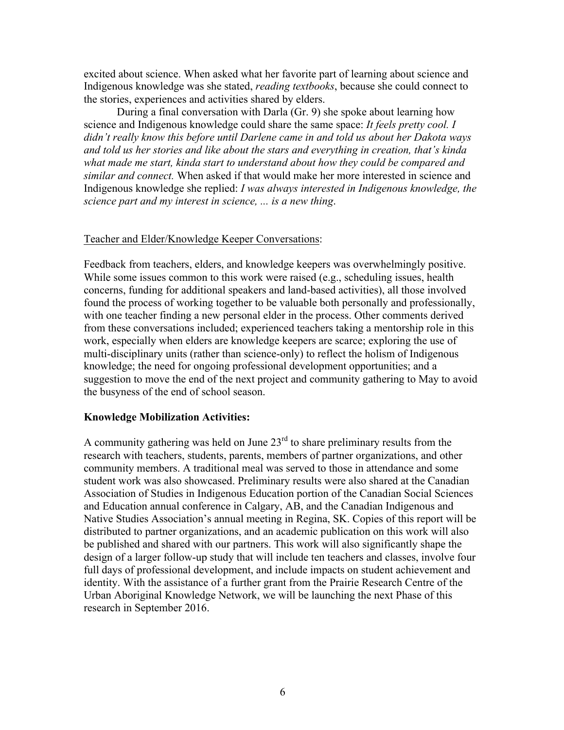excited about science. When asked what her favorite part of learning about science and Indigenous knowledge was she stated, *reading textbooks*, because she could connect to the stories, experiences and activities shared by elders.

During a final conversation with Darla (Gr. 9) she spoke about learning how science and Indigenous knowledge could share the same space: *It feels pretty cool. I didn't really know this before until Darlene came in and told us about her Dakota ways and told us her stories and like about the stars and everything in creation, that's kinda what made me start, kinda start to understand about how they could be compared and similar and connect.* When asked if that would make her more interested in science and Indigenous knowledge she replied: *I was always interested in Indigenous knowledge, the science part and my interest in science, ... is a new thing*.

#### Teacher and Elder/Knowledge Keeper Conversations:

Feedback from teachers, elders, and knowledge keepers was overwhelmingly positive. While some issues common to this work were raised (e.g., scheduling issues, health concerns, funding for additional speakers and land-based activities), all those involved found the process of working together to be valuable both personally and professionally, with one teacher finding a new personal elder in the process. Other comments derived from these conversations included; experienced teachers taking a mentorship role in this work, especially when elders are knowledge keepers are scarce; exploring the use of multi-disciplinary units (rather than science-only) to reflect the holism of Indigenous knowledge; the need for ongoing professional development opportunities; and a suggestion to move the end of the next project and community gathering to May to avoid the busyness of the end of school season.

#### **Knowledge Mobilization Activities:**

A community gathering was held on June  $23<sup>rd</sup>$  to share preliminary results from the research with teachers, students, parents, members of partner organizations, and other community members. A traditional meal was served to those in attendance and some student work was also showcased. Preliminary results were also shared at the Canadian Association of Studies in Indigenous Education portion of the Canadian Social Sciences and Education annual conference in Calgary, AB, and the Canadian Indigenous and Native Studies Association's annual meeting in Regina, SK. Copies of this report will be distributed to partner organizations, and an academic publication on this work will also be published and shared with our partners. This work will also significantly shape the design of a larger follow-up study that will include ten teachers and classes, involve four full days of professional development, and include impacts on student achievement and identity. With the assistance of a further grant from the Prairie Research Centre of the Urban Aboriginal Knowledge Network, we will be launching the next Phase of this research in September 2016.